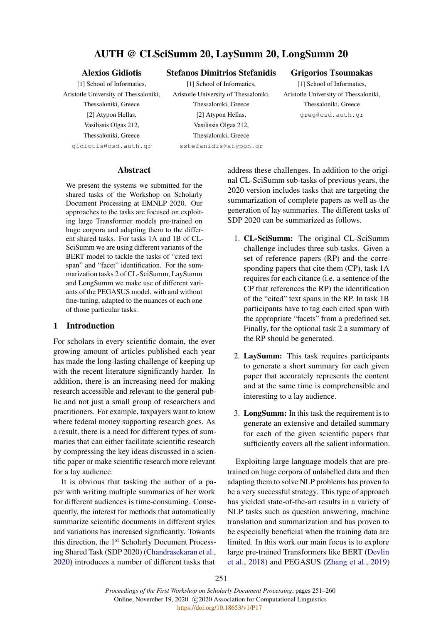# AUTH @ CLSciSumm 20, LaySumm 20, LongSumm 20

# Alexios Gidiotis

Stefanos Dimitrios Stefanidis

[1] School of Informatics, Aristotle University of Thessaloniki, Thessaloniki, Greece [2] Atypon Hellas, Vasilissis Olgas 212, Thessaloniki, Greece gidiotis@csd.auth.gr

[1] School of Informatics, Aristotle University of Thessaloniki, Thessaloniki, Greece [2] Atypon Hellas, Vasilissis Olgas 212, Thessaloniki, Greece sstefanidis@atypon.gr

#### Grigorios Tsoumakas

[1] School of Informatics, Aristotle University of Thessaloniki, Thessaloniki, Greece greg@csd.auth.gr

#### Abstract

We present the systems we submitted for the shared tasks of the Workshop on Scholarly Document Processing at EMNLP 2020. Our approaches to the tasks are focused on exploiting large Transformer models pre-trained on huge corpora and adapting them to the different shared tasks. For tasks 1A and 1B of CL-SciSumm we are using different variants of the BERT model to tackle the tasks of "cited text span" and "facet" identification. For the summarization tasks 2 of CL-SciSumm, LaySumm and LongSumm we make use of different variants of the PEGASUS model, with and without fine-tuning, adapted to the nuances of each one of those particular tasks.

# 1 Introduction

For scholars in every scientific domain, the ever growing amount of articles published each year has made the long-lasting challenge of keeping up with the recent literature significantly harder. In addition, there is an increasing need for making research accessible and relevant to the general public and not just a small group of researchers and practitioners. For example, taxpayers want to know where federal money supporting research goes. As a result, there is a need for different types of summaries that can either facilitate scientific research by compressing the key ideas discussed in a scientific paper or make scientific research more relevant for a lay audience.

It is obvious that tasking the author of a paper with writing multiple summaries of her work for different audiences is time-consuming. Consequently, the interest for methods that automatically summarize scientific documents in different styles and variations has increased significantly. Towards this direction, the 1<sup>st</sup> Scholarly Document Processing Shared Task (SDP 2020) [\(Chandrasekaran et al.,](#page-8-0) [2020\)](#page-8-0) introduces a number of different tasks that

address these challenges. In addition to the original CL-SciSumm sub-tasks of previous years, the 2020 version includes tasks that are targeting the summarization of complete papers as well as the generation of lay summaries. The different tasks of SDP 2020 can be summarized as follows.

- 1. CL-SciSumm: The original CL-SciSumm challenge includes three sub-tasks. Given a set of reference papers (RP) and the corresponding papers that cite them (CP), task 1A requires for each citance (i.e. a sentence of the CP that references the RP) the identification of the "cited" text spans in the RP. In task 1B participants have to tag each cited span with the appropriate "facets" from a predefined set. Finally, for the optional task 2 a summary of the RP should be generated.
- 2. LaySumm: This task requires participants to generate a short summary for each given paper that accurately represents the content and at the same time is comprehensible and interesting to a lay audience.
- 3. LongSumm: In this task the requirement is to generate an extensive and detailed summary for each of the given scientific papers that sufficiently covers all the salient information.

Exploiting large language models that are pretrained on huge corpora of unlabelled data and then adapting them to solve NLP problems has proven to be a very successful strategy. This type of approach has yielded state-of-the-art results in a variety of NLP tasks such as question answering, machine translation and summarization and has proven to be especially beneficial when the training data are limited. In this work our main focus is to explore large pre-trained Transformers like BERT [\(Devlin](#page-8-1) [et al.,](#page-8-1) [2018\)](#page-8-1) and PEGASUS [\(Zhang et al.,](#page-9-0) [2019\)](#page-9-0)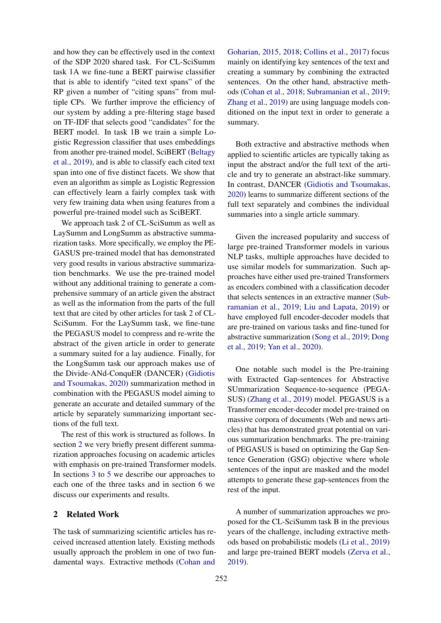and how they can be effectively used in the context of the SDP 2020 shared task. For CL-SciSumm task 1A we fine-tune a BERT pairwise classifier that is able to identify "cited text spans" of the RP given a number of "citing spans" from multiple CPs. We further improve the efficiency of our system by adding a pre-filtering stage based on TF-IDF that selects good "candidates" for the BERT model. In task 1B we train a simple Logistic Regression classifier that uses embeddings from another pre-trained model, SciBERT [\(Beltagy](#page-8-2) [et al.,](#page-8-2) [2019\)](#page-8-2), and is able to classify each cited text span into one of five distinct facets. We show that even an algorithm as simple as Logistic Regression can effectively learn a fairly complex task with very few training data when using features from a powerful pre-trained model such as SciBERT.

We approach task 2 of CL-SciSumm as well as LaySumm and LongSumm as abstractive summarization tasks. More specifically, we employ the PE-GASUS pre-trained model that has demonstrated very good results in various abstractive summarization benchmarks. We use the pre-trained model without any additional training to generate a comprehensive summary of an article given the abstract as well as the information from the parts of the full text that are cited by other articles for task 2 of CL-SciSumm. For the LaySumm task, we fine-tune the PEGASUS model to compress and re-write the abstract of the given article in order to generate a summary suited for a lay audience. Finally, for the LongSumm task our approach makes use of the Divide-ANd-ConquER (DANCER) [\(Gidiotis](#page-8-3) [and Tsoumakas,](#page-8-3) [2020\)](#page-8-3) summarization method in combination with the PEGASUS model aiming to generate an accurate and detailed summary of the article by separately summarizing important sections of the full text.

The rest of this work is structured as follows. In section [2](#page-1-0) we very briefly present different summarization approaches focusing on academic articles with emphasis on pre-trained Transformer models. In sections [3](#page-2-0) to [5](#page-4-0) we describe our approaches to each one of the three tasks and in section [6](#page-4-1) we discuss our experiments and results.

# <span id="page-1-0"></span>2 Related Work

The task of summarizing scientific articles has received increased attention lately. Existing methods usually approach the problem in one of two fundamental ways. Extractive methods [\(Cohan and](#page-8-4)

[Goharian,](#page-8-4) [2015,](#page-8-4) [2018;](#page-8-5) [Collins et al.,](#page-8-6) [2017\)](#page-8-6) focus mainly on identifying key sentences of the text and creating a summary by combining the extracted sentences. On the other hand, abstractive methods [\(Cohan et al.,](#page-8-7) [2018;](#page-8-7) [Subramanian et al.,](#page-9-1) [2019;](#page-9-1) [Zhang et al.,](#page-9-0) [2019\)](#page-9-0) are using language models conditioned on the input text in order to generate a summary.

Both extractive and abstractive methods when applied to scientific articles are typically taking as input the abstract and/or the full text of the article and try to generate an abstract-like summary. In contrast, DANCER [\(Gidiotis and Tsoumakas,](#page-8-3) [2020\)](#page-8-3) learns to summarize different sections of the full text separately and combines the individual summaries into a single article summary.

Given the increased popularity and success of large pre-trained Transformer models in various NLP tasks, multiple approaches have decided to use similar models for summarization. Such approaches have either used pre-trained Transformers as encoders combined with a classification decoder that selects sentences in an extractive manner [\(Sub](#page-9-1)[ramanian et al.,](#page-9-1) [2019;](#page-9-1) [Liu and Lapata,](#page-8-8) [2019\)](#page-8-8) or have employed full encoder-decoder models that are pre-trained on various tasks and fine-tuned for abstractive summarization [\(Song et al.,](#page-9-2) [2019;](#page-9-2) [Dong](#page-8-9) [et al.,](#page-8-9) [2019;](#page-8-9) [Yan et al.,](#page-9-3) [2020\)](#page-9-3).

One notable such model is the Pre-training with Extracted Gap-sentences for Abstractive SUmmarization Sequence-to-sequence (PEGA-SUS) [\(Zhang et al.,](#page-9-0) [2019\)](#page-9-0) model. PEGASUS is a Transformer encoder-decoder model pre-trained on massive corpora of documents (Web and news articles) that has demonstrated great potential on various summarization benchmarks. The pre-training of PEGASUS is based on optimizing the Gap Sentence Generation (GSG) objective where whole sentences of the input are masked and the model attempts to generate these gap-sentences from the rest of the input.

A number of summarization approaches we proposed for the CL-SciSumm task B in the previous years of the challenge, including extractive methods based on probabilistic models [\(Li et al.,](#page-8-10) [2019\)](#page-8-10) and large pre-trained BERT models [\(Zerva et al.,](#page-9-4) [2019\)](#page-9-4).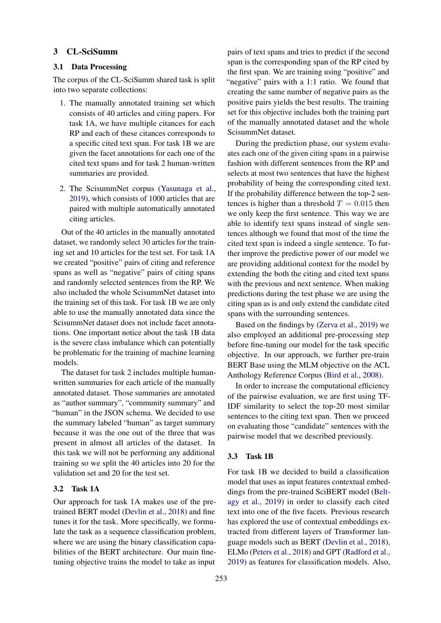#### <span id="page-2-0"></span>3 CL-SciSumm

# 3.1 Data Processing

The corpus of the CL-SciSumm shared task is split into two separate collections:

- 1. The manually annotated training set which consists of 40 articles and citing papers. For task 1A, we have multiple citances for each RP and each of these citances corresponds to a specific cited text span. For task 1B we are given the facet annotations for each one of the cited text spans and for task 2 human-written summaries are provided.
- 2. The ScisummNet corpus [\(Yasunaga et al.,](#page-9-5) [2019\)](#page-9-5), which consists of 1000 articles that are paired with multiple automatically annotated citing articles.

Out of the 40 articles in the manually annotated dataset, we randomly select 30 articles for the training set and 10 articles for the test set. For task 1A we created "positive" pairs of citing and reference spans as well as "negative" pairs of citing spans and randomly selected sentences from the RP. We also included the whole ScisummNet dataset into the training set of this task. For task 1B we are only able to use the manually annotated data since the ScisummNet dataset does not include facet annotations. One important notice about the task 1B data is the severe class imbalance which can potentially be problematic for the training of machine learning models.

The dataset for task 2 includes multiple humanwritten summaries for each article of the manually annotated dataset. Those summaries are annotated as "author summary", "community summary" and "human" in the JSON schema. We decided to use the summary labeled "human" as target summary because it was the one out of the three that was present in almost all articles of the dataset. In this task we will not be performing any additional training so we split the 40 articles into 20 for the validation set and 20 for the test set.

# 3.2 Task 1A

Our approach for task 1A makes use of the pretrained BERT model [\(Devlin et al.,](#page-8-1) [2018\)](#page-8-1) and fine tunes it for the task. More specifically, we formulate the task as a sequence classification problem, where we are using the binary classification capabilities of the BERT architecture. Our main finetuning objective trains the model to take as input

pairs of text spans and tries to predict if the second span is the corresponding span of the RP cited by the first span. We are training using "positive" and "negative" pairs with a 1:1 ratio. We found that creating the same number of negative pairs as the positive pairs yields the best results. The training set for this objective includes both the training part of the manually annotated dataset and the whole ScisummNet dataset.

During the prediction phase, our system evaluates each one of the given citing spans in a pairwise fashion with different sentences from the RP and selects at most two sentences that have the highest probability of being the corresponding cited text. If the probability difference between the top-2 sentences is higher than a threshold  $T = 0.015$  then we only keep the first sentence. This way we are able to identify text spans instead of single sentences although we found that most of the time the cited text span is indeed a single sentence. To further improve the predictive power of our model we are providing additional context for the model by extending the both the citing and cited text spans with the previous and next sentence. When making predictions during the test phase we are using the citing span as is and only extend the candidate cited spans with the surrounding sentences.

Based on the findings by [\(Zerva et al.,](#page-9-4) [2019\)](#page-9-4) we also employed an additional pre-processing step before fine-tuning our model for the task specific objective. In our approach, we further pre-train BERT Base using the MLM objective on the ACL Anthology Reference Corpus [\(Bird et al.,](#page-8-11) [2008\)](#page-8-11).

In order to increase the computational efficiency of the pairwise evaluation, we are first using TF-IDF similarity to select the top-20 most similar sentences to the citing text span. Then we proceed on evaluating those "candidate" sentences with the pairwise model that we described previously.

#### 3.3 Task 1B

For task 1B we decided to build a classification model that uses as input features contextual embeddings from the pre-trained SciBERT model [\(Belt](#page-8-2)[agy et al.,](#page-8-2) [2019\)](#page-8-2) in order to classify each cited text into one of the five facets. Previous research has explored the use of contextual embeddings extracted from different layers of Transformer language models such as BERT [\(Devlin et al.,](#page-8-1) [2018\)](#page-8-1), ELMo [\(Peters et al.,](#page-8-12) [2018\)](#page-8-12) and GPT [\(Radford et al.,](#page-9-6) [2019\)](#page-9-6) as features for classification models. Also,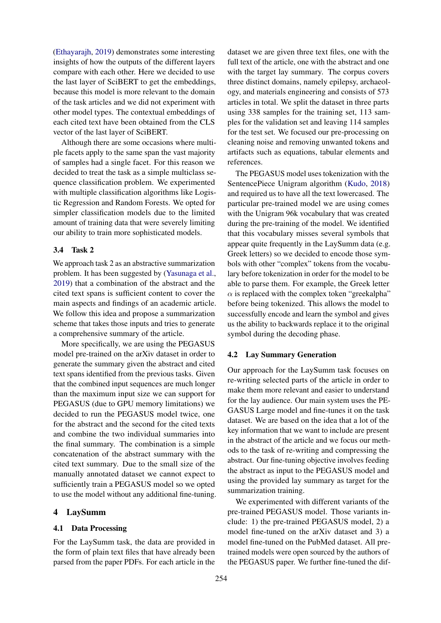[\(Ethayarajh,](#page-8-13) [2019\)](#page-8-13) demonstrates some interesting insights of how the outputs of the different layers compare with each other. Here we decided to use the last layer of SciBERT to get the embeddings, because this model is more relevant to the domain of the task articles and we did not experiment with other model types. The contextual embeddings of each cited text have been obtained from the CLS vector of the last layer of SciBERT.

Although there are some occasions where multiple facets apply to the same span the vast majority of samples had a single facet. For this reason we decided to treat the task as a simple multiclass sequence classification problem. We experimented with multiple classification algorithms like Logistic Regression and Random Forests. We opted for simpler classification models due to the limited amount of training data that were severely limiting our ability to train more sophisticated models.

## 3.4 Task 2

We approach task 2 as an abstractive summarization problem. It has been suggested by [\(Yasunaga et al.,](#page-9-5) [2019\)](#page-9-5) that a combination of the abstract and the cited text spans is sufficient content to cover the main aspects and findings of an academic article. We follow this idea and propose a summarization scheme that takes those inputs and tries to generate a comprehensive summary of the article.

More specifically, we are using the PEGASUS model pre-trained on the arXiv dataset in order to generate the summary given the abstract and cited text spans identified from the previous tasks. Given that the combined input sequences are much longer than the maximum input size we can support for PEGASUS (due to GPU memory limitations) we decided to run the PEGASUS model twice, one for the abstract and the second for the cited texts and combine the two individual summaries into the final summary. The combination is a simple concatenation of the abstract summary with the cited text summary. Due to the small size of the manually annotated dataset we cannot expect to sufficiently train a PEGASUS model so we opted to use the model without any additional fine-tuning.

### 4 LaySumm

#### 4.1 Data Processing

For the LaySumm task, the data are provided in the form of plain text files that have already been parsed from the paper PDFs. For each article in the

dataset we are given three text files, one with the full text of the article, one with the abstract and one with the target lay summary. The corpus covers three distinct domains, namely epilepsy, archaeology, and materials engineering and consists of 573 articles in total. We split the dataset in three parts using 338 samples for the training set, 113 samples for the validation set and leaving 114 samples for the test set. We focused our pre-processing on cleaning noise and removing unwanted tokens and artifacts such as equations, tabular elements and references.

The PEGASUS model uses tokenization with the SentencePiece Unigram algorithm [\(Kudo,](#page-8-14) [2018\)](#page-8-14) and required us to have all the text lowercased. The particular pre-trained model we are using comes with the Unigram 96k vocabulary that was created during the pre-training of the model. We identified that this vocabulary misses several symbols that appear quite frequently in the LaySumm data (e.g. Greek letters) so we decided to encode those symbols with other "complex" tokens from the vocabulary before tokenization in order for the model to be able to parse them. For example, the Greek letter  $\alpha$  is replaced with the complex token "greekalpha" before being tokenized. This allows the model to successfully encode and learn the symbol and gives us the ability to backwards replace it to the original symbol during the decoding phase.

#### 4.2 Lay Summary Generation

Our approach for the LaySumm task focuses on re-writing selected parts of the article in order to make them more relevant and easier to understand for the lay audience. Our main system uses the PE-GASUS Large model and fine-tunes it on the task dataset. We are based on the idea that a lot of the key information that we want to include are present in the abstract of the article and we focus our methods to the task of re-writing and compressing the abstract. Our fine-tuning objective involves feeding the abstract as input to the PEGASUS model and using the provided lay summary as target for the summarization training.

We experimented with different variants of the pre-trained PEGASUS model. Those variants include: 1) the pre-trained PEGASUS model, 2) a model fine-tuned on the arXiv dataset and 3) a model fine-tuned on the PubMed dataset. All pretrained models were open sourced by the authors of the PEGASUS paper. We further fine-tuned the dif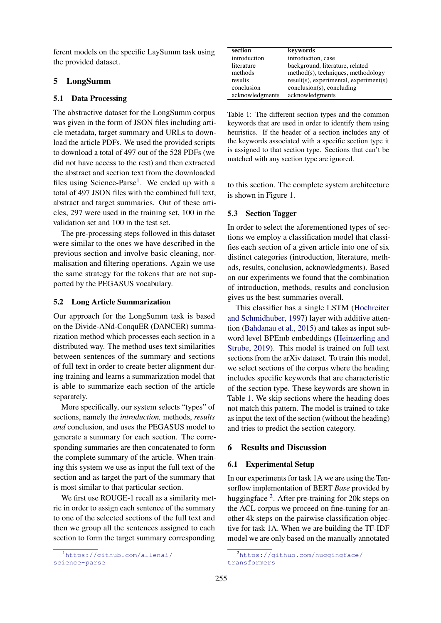ferent models on the specific LaySumm task using the provided dataset.

# <span id="page-4-0"></span>5 LongSumm

### 5.1 Data Processing

The abstractive dataset for the LongSumm corpus was given in the form of JSON files including article metadata, target summary and URLs to download the article PDFs. We used the provided scripts to download a total of 497 out of the 528 PDFs (we did not have access to the rest) and then extracted the abstract and section text from the downloaded files using Science-Parse<sup>[1](#page-4-2)</sup>. We ended up with a total of 497 JSON files with the combined full text, abstract and target summaries. Out of these articles, 297 were used in the training set, 100 in the validation set and 100 in the test set.

The pre-processing steps followed in this dataset were similar to the ones we have described in the previous section and involve basic cleaning, normalisation and filtering operations. Again we use the same strategy for the tokens that are not supported by the PEGASUS vocabulary.

#### 5.2 Long Article Summarization

Our approach for the LongSumm task is based on the Divide-ANd-ConquER (DANCER) summarization method which processes each section in a distributed way. The method uses text similarities between sentences of the summary and sections of full text in order to create better alignment during training and learns a summarization model that is able to summarize each section of the article separately.

More specifically, our system selects "types" of sections, namely the *introduction,* methods, *results and* conclusion, and uses the PEGASUS model to generate a summary for each section. The corresponding summaries are then concatenated to form the complete summary of the article. When training this system we use as input the full text of the section and as target the part of the summary that is most similar to that particular section.

We first use ROUGE-1 recall as a similarity metric in order to assign each sentence of the summary to one of the selected sections of the full text and then we group all the sentences assigned to each section to form the target summary corresponding

<span id="page-4-3"></span>

| section         | kevwords                                     |
|-----------------|----------------------------------------------|
| introduction    | introduction, case                           |
| literature      | background, literature, related              |
| methods         | method(s), techniques, methodology           |
| results         | $result(s)$ , experimental, experiment $(s)$ |
| conclusion      | $conclusion(s)$ , concluding                 |
| acknowledgments | acknowledgments                              |
|                 |                                              |

Table 1: The different section types and the common keywords that are used in order to identify them using heuristics. If the header of a section includes any of the keywords associated with a specific section type it is assigned to that section type. Sections that can't be matched with any section type are ignored.

to this section. The complete system architecture is shown in Figure [1.](#page-5-0)

# <span id="page-4-5"></span>5.3 Section Tagger

In order to select the aforementioned types of sections we employ a classification model that classifies each section of a given article into one of six distinct categories (introduction, literature, methods, results, conclusion, acknowledgments). Based on our experiments we found that the combination of introduction, methods, results and conclusion gives us the best summaries overall.

This classifier has a single LSTM [\(Hochreiter](#page-8-15) [and Schmidhuber,](#page-8-15) [1997\)](#page-8-15) layer with additive attention [\(Bahdanau et al.,](#page-8-16) [2015\)](#page-8-16) and takes as input subword level BPEmb embeddings [\(Heinzerling and](#page-8-17) [Strube,](#page-8-17) [2019\)](#page-8-17). This model is trained on full text sections from the arXiv dataset. To train this model, we select sections of the corpus where the heading includes specific keywords that are characteristic of the section type. These keywords are shown in Table [1.](#page-4-3) We skip sections where the heading does not match this pattern. The model is trained to take as input the text of the section (without the heading) and tries to predict the section category.

#### <span id="page-4-1"></span>6 Results and Discussion

#### 6.1 Experimental Setup

In our experiments for task 1A we are using the Tensorflow implementation of BERT *Base* provided by huggingface <sup>[2](#page-4-4)</sup>. After pre-training for 20k steps on the ACL corpus we proceed on fine-tuning for another 4k steps on the pairwise classification objective for task 1A. When we are building the TF-IDF model we are only based on the manually annotated

<span id="page-4-2"></span><sup>1</sup>[https://github.com/allenai/](https://github.com/allenai/science-parse) [science-parse](https://github.com/allenai/science-parse)

<span id="page-4-4"></span><sup>&</sup>lt;sup>2</sup>[https://github.com/huggingface/](https://github.com/huggingface/transformers) [transformers](https://github.com/huggingface/transformers)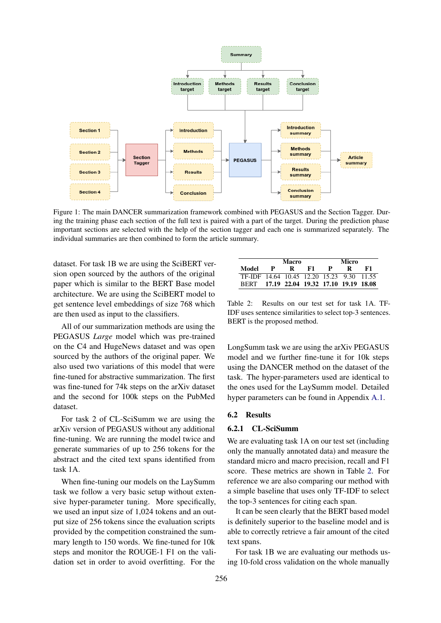<span id="page-5-0"></span>

Figure 1: The main DANCER summarization framework combined with PEGASUS and the Section Tagger. During the training phase each section of the full text is paired with a part of the target. During the prediction phase important sections are selected with the help of the section tagger and each one is summarized separately. The individual summaries are then combined to form the article summary.

dataset. For task 1B we are using the SciBERT version open sourced by the authors of the original paper which is similar to the BERT Base model architecture. We are using the SciBERT model to get sentence level embeddings of size 768 which are then used as input to the classifiers.

All of our summarization methods are using the PEGASUS *Large* model which was pre-trained on the C4 and HugeNews dataset and was open sourced by the authors of the original paper. We also used two variations of this model that were fine-tuned for abstractive summarization. The first was fine-tuned for 74k steps on the arXiv dataset and the second for 100k steps on the PubMed dataset.

For task 2 of CL-SciSumm we are using the arXiv version of PEGASUS without any additional fine-tuning. We are running the model twice and generate summaries of up to 256 tokens for the abstract and the cited text spans identified from task 1A.

When fine-tuning our models on the LaySumm task we follow a very basic setup without extensive hyper-parameter tuning. More specifically, we used an input size of 1,024 tokens and an output size of 256 tokens since the evaluation scripts provided by the competition constrained the summary length to 150 words. We fine-tuned for 10k steps and monitor the ROUGE-1 F1 on the validation set in order to avoid overfitting. For the

<span id="page-5-1"></span>

|                                           |              | Macro |    | Micro |   |     |  |
|-------------------------------------------|--------------|-------|----|-------|---|-----|--|
| Model                                     | $\mathbf{P}$ | K.    | к1 | P.    | R | -61 |  |
| TF-IDF 14.64 10.45 12.20 15.23 9.30 11.55 |              |       |    |       |   |     |  |
| BERT 17.19 22.04 19.32 17.10 19.19 18.08  |              |       |    |       |   |     |  |

Table 2: Results on our test set for task 1A. TF-IDF uses sentence similarities to select top-3 sentences. BERT is the proposed method.

LongSumm task we are using the arXiv PEGASUS model and we further fine-tune it for 10k steps using the DANCER method on the dataset of the task. The hyper-parameters used are identical to the ones used for the LaySumm model. Detailed hyper parameters can be found in Appendix [A.1.](#page-9-7)

# 6.2 Results

# 6.2.1 CL-SciSumm

We are evaluating task 1A on our test set (including only the manually annotated data) and measure the standard micro and macro precision, recall and F1 score. These metrics are shown in Table [2.](#page-5-1) For reference we are also comparing our method with a simple baseline that uses only TF-IDF to select the top-3 sentences for citing each span.

It can be seen clearly that the BERT based model is definitely superior to the baseline model and is able to correctly retrieve a fair amount of the cited text spans.

For task 1B we are evaluating our methods using 10-fold cross validation on the whole manually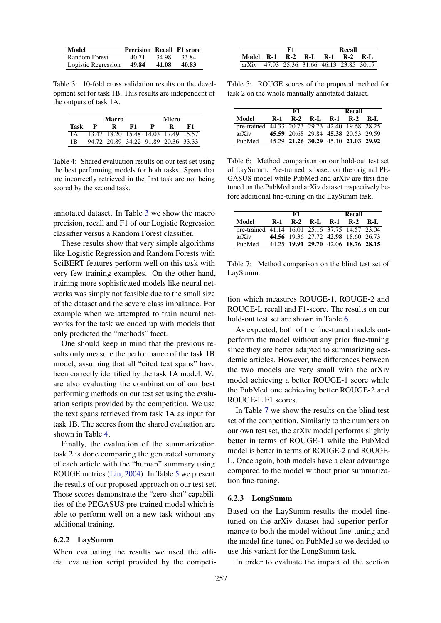<span id="page-6-0"></span>

| Model               | <b>Precision Recall F1 score</b> |       |       |
|---------------------|----------------------------------|-------|-------|
| Random Forest       | 40.71                            | 34.98 | 33.84 |
| Logistic Regression | 49.84                            | 41.08 | 40.83 |

Table 3: 10-fold cross validation results on the development set for task 1B. This results are independent of the outputs of task 1A.

<span id="page-6-1"></span>

|      |   | Macro                               |    | Micro |   |    |
|------|---|-------------------------------------|----|-------|---|----|
| Task | P | ĸ                                   | F1 | P     | R | F1 |
| 1 A  |   | 13.47 18.20 15.48 14.03 17.49 15.57 |    |       |   |    |
| 1B   |   | 94.72 20.89 34.22 91.89 20.36 33.33 |    |       |   |    |

Table 4: Shared evaluation results on our test set using the best performing models for both tasks. Spans that are incorrectly retrieved in the first task are not being scored by the second task.

annotated dataset. In Table [3](#page-6-0) we show the macro precision, recall and F1 of our Logistic Regression classifier versus a Random Forest classifier.

These results show that very simple algorithms like Logistic Regression and Random Forests with SciBERT features perform well on this task with very few training examples. On the other hand, training more sophisticated models like neural networks was simply not feasible due to the small size of the dataset and the severe class imbalance. For example when we attempted to train neural networks for the task we ended up with models that only predicted the "methods" facet.

One should keep in mind that the previous results only measure the performance of the task 1B model, assuming that all "cited text spans" have been correctly identified by the task 1A model. We are also evaluating the combination of our best performing methods on our test set using the evaluation scripts provided by the competition. We use the text spans retrieved from task 1A as input for task 1B. The scores from the shared evaluation are shown in Table [4.](#page-6-1)

Finally, the evaluation of the summarization task 2 is done comparing the generated summary of each article with the "human" summary using ROUGE metrics [\(Lin,](#page-8-18) [2004\)](#page-8-18). In Table [5](#page-6-2) we present the results of our proposed approach on our test set. Those scores demonstrate the "zero-shot" capabilities of the PEGASUS pre-trained model which is able to perform well on a new task without any additional training.

# 6.2.2 LaySumm

When evaluating the results we used the official evaluation script provided by the competi-

<span id="page-6-2"></span>

|                                           | F1 |  |  | Recall |  |  |
|-------------------------------------------|----|--|--|--------|--|--|
| Model R-1 R-2 R-L R-1 R-2 R-L             |    |  |  |        |  |  |
| arXiv 47.93 25.36 31.66 46.13 23.85 30.17 |    |  |  |        |  |  |

Table 5: ROUGE scores of the proposed method for task 2 on the whole manually annotated dataset.

<span id="page-6-3"></span>

|                                                 | F1 | Recall                              |  |  |  |
|-------------------------------------------------|----|-------------------------------------|--|--|--|
| Model                                           |    | R-1 R-2 R-L R-1 R-2 R-L             |  |  |  |
| pre-trained 44.33 20.73 29.73 42.40 19.68 28.25 |    |                                     |  |  |  |
| arXiv                                           |    | 45.59 20.68 29.84 45.38 20.53 29.59 |  |  |  |
| PubMed                                          |    | 45.29 21.26 30.29 45.10 21.03 29.92 |  |  |  |

Table 6: Method comparison on our hold-out test set of LaySumm. Pre-trained is based on the original PE-GASUS model while PubMed and arXiv are first finetuned on the PubMed and arXiv dataset respectively before additional fine-tuning on the LaySumm task.

<span id="page-6-4"></span>

|                                                 | F1 | Recall                              |  |  |  |
|-------------------------------------------------|----|-------------------------------------|--|--|--|
| Model                                           |    | R-1 R-2 R-L R-1 R-2 R-L             |  |  |  |
| pre-trained 41.14 16.01 25.16 37.75 14.57 23.04 |    |                                     |  |  |  |
| arXiv                                           |    | 44.56 19.36 27.72 42.98 18.60 26.73 |  |  |  |
| PubMed                                          |    | 44.25 19.91 29.70 42.06 18.76 28.15 |  |  |  |

Table 7: Method comparison on the blind test set of LaySumm.

tion which measures ROUGE-1, ROUGE-2 and ROUGE-L recall and F1-score. The results on our hold-out test set are shown in Table [6.](#page-6-3)

As expected, both of the fine-tuned models outperform the model without any prior fine-tuning since they are better adapted to summarizing academic articles. However, the differences between the two models are very small with the arXiv model achieving a better ROUGE-1 score while the PubMed one achieving better ROUGE-2 and ROUGE-L F1 scores.

In Table [7](#page-6-4) we show the results on the blind test set of the competition. Similarly to the numbers on our own test set, the arXiv model performs slightly better in terms of ROUGE-1 while the PubMed model is better in terms of ROUGE-2 and ROUGE-L. Once again, both models have a clear advantage compared to the model without prior summarization fine-tuning.

#### 6.2.3 LongSumm

Based on the LaySumm results the model finetuned on the arXiv dataset had superior performance to both the model without fine-tuning and the model fine-tuned on PubMed so we decided to use this variant for the LongSumm task.

In order to evaluate the impact of the section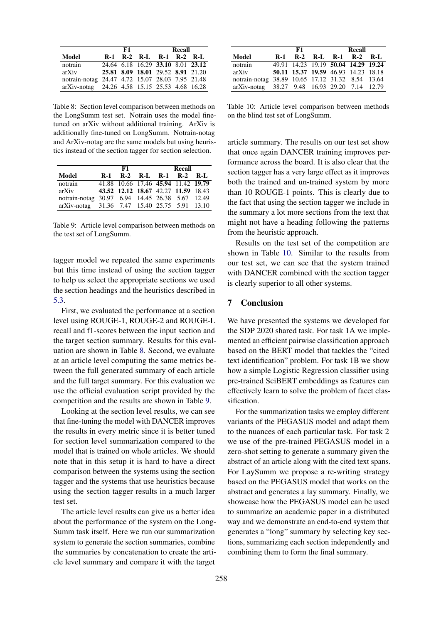<span id="page-7-0"></span>

|                                                 | F1. | <b>Recall</b> |                                   |  |  |
|-------------------------------------------------|-----|---------------|-----------------------------------|--|--|
| Model                                           |     |               | R-1 R-2 R-L R-1 R-2 R-L           |  |  |
| notrain                                         |     |               | 24.64 6.18 16.29 33.10 8.01 23.12 |  |  |
| arXiv                                           |     |               | 25.81 8.09 18.01 29.52 8.91 21.20 |  |  |
| notrain-notag 24.47 4.72 15.07 28.03 7.95 21.48 |     |               |                                   |  |  |
| arXiv-notag 24.26 4.58 15.15 25.53 4.68 16.28   |     |               |                                   |  |  |

Table 8: Section level comparison between methods on the LongSumm test set. Notrain uses the model finetuned on arXiv without additional training. ArXiv is additionally fine-tuned on LongSumm. Notrain-notag and ArXiv-notag are the same models but using heuristics instead of the section tagger for section selection.

<span id="page-7-1"></span>

|                                                 | F1 | Recall |                                     |  |
|-------------------------------------------------|----|--------|-------------------------------------|--|
| Model                                           |    |        | R-1 R-2 R-L R-1 R-2 R-L             |  |
| notrain                                         |    |        | 41.88 10.66 17.46 45.94 11.42 19.79 |  |
| arXiv                                           |    |        | 43.52 12.12 18.67 42.27 11.59 18.43 |  |
| notrain-notag 30.97 6.94 14.45 26.38 5.67 12.49 |    |        |                                     |  |
| arXiv-notag 31.36 7.47 15.40 25.75 5.91 13.10   |    |        |                                     |  |

Table 9: Article level comparison between methods on the test set of LongSumm.

tagger model we repeated the same experiments but this time instead of using the section tagger to help us select the appropriate sections we used the section headings and the heuristics described in [5.3.](#page-4-5)

First, we evaluated the performance at a section level using ROUGE-1, ROUGE-2 and ROUGE-L recall and f1-scores between the input section and the target section summary. Results for this evaluation are shown in Table [8.](#page-7-0) Second, we evaluate at an article level computing the same metrics between the full generated summary of each article and the full target summary. For this evaluation we use the official evaluation script provided by the competition and the results are shown in Table [9.](#page-7-1)

Looking at the section level results, we can see that fine-tuning the model with DANCER improves the results in every metric since it is better tuned for section level summarization compared to the model that is trained on whole articles. We should note that in this setup it is hard to have a direct comparison between the systems using the section tagger and the systems that use heuristics because using the section tagger results in a much larger test set.

The article level results can give us a better idea about the performance of the system on the Long-Summ task itself. Here we run our summarization system to generate the section summaries, combine the summaries by concatenation to create the article level summary and compare it with the target

<span id="page-7-2"></span>

|                                                  |       | F1 | Recall                              |  |  |
|--------------------------------------------------|-------|----|-------------------------------------|--|--|
| Model                                            | $R-1$ |    | R-2 R-L R-1 R-2 R-L                 |  |  |
| notrain                                          |       |    | 49.91 14.23 19.19 50.04 14.29 19.24 |  |  |
| arXiv                                            |       |    | 50.11 15.37 19.59 46.93 14.23 18.18 |  |  |
| notrain-notag 38.89 10.65 17.12 31.32 8.54 13.64 |       |    |                                     |  |  |
| arXiv-notag 38.27 9.48 16.93 29.20 7.14 12.79    |       |    |                                     |  |  |

Table 10: Article level comparison between methods on the blind test set of LongSumm.

article summary. The results on our test set show that once again DANCER training improves performance across the board. It is also clear that the section tagger has a very large effect as it improves both the trained and un-trained system by more than 10 ROUGE-1 points. This is clearly due to the fact that using the section tagger we include in the summary a lot more sections from the text that might not have a heading following the patterns from the heuristic approach.

Results on the test set of the competition are shown in Table [10.](#page-7-2) Similar to the results from our test set, we can see that the system trained with DANCER combined with the section tagger is clearly superior to all other systems.

# 7 Conclusion

We have presented the systems we developed for the SDP 2020 shared task. For task 1A we implemented an efficient pairwise classification approach based on the BERT model that tackles the "cited text identification" problem. For task 1B we show how a simple Logistic Regression classifier using pre-trained SciBERT embeddings as features can effectively learn to solve the problem of facet classification.

For the summarization tasks we employ different variants of the PEGASUS model and adapt them to the nuances of each particular task. For task 2 we use of the pre-trained PEGASUS model in a zero-shot setting to generate a summary given the abstract of an article along with the cited text spans. For LaySumm we propose a re-writing strategy based on the PEGASUS model that works on the abstract and generates a lay summary. Finally, we showcase how the PEGASUS model can be used to summarize an academic paper in a distributed way and we demonstrate an end-to-end system that generates a "long" summary by selecting key sections, summarizing each section independently and combining them to form the final summary.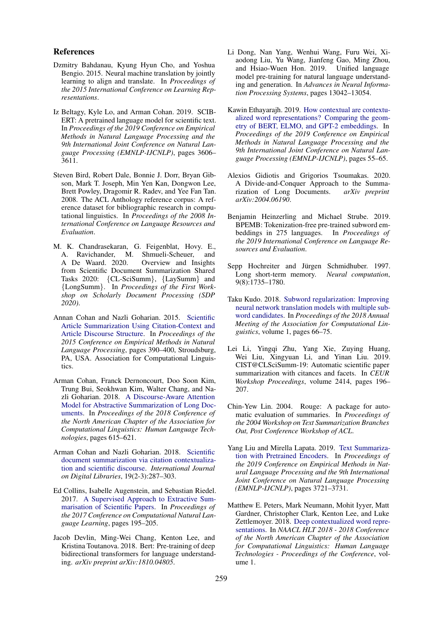#### References

- <span id="page-8-16"></span>Dzmitry Bahdanau, Kyung Hyun Cho, and Yoshua Bengio. 2015. Neural machine translation by jointly learning to align and translate. In *Proceedings of the 2015 International Conference on Learning Representations*.
- <span id="page-8-2"></span>Iz Beltagy, Kyle Lo, and Arman Cohan. 2019. SCIB-ERT: A pretrained language model for scientific text. In *Proceedings of the 2019 Conference on Empirical Methods in Natural Language Processing and the 9th International Joint Conference on Natural Language Processing (EMNLP-IJCNLP)*, pages 3606– 3611.
- <span id="page-8-11"></span>Steven Bird, Robert Dale, Bonnie J. Dorr, Bryan Gibson, Mark T. Joseph, Min Yen Kan, Dongwon Lee, Brett Powley, Dragomir R. Radev, and Yee Fan Tan. 2008. The ACL Anthology reference corpus: A reference dataset for bibliographic research in computational linguistics. In *Proceedings of the 2008 International Conference on Language Resources and Evaluation*.
- <span id="page-8-0"></span>M. K. Chandrasekaran, G. Feigenblat, Hovy. E., A. Ravichander, M. Shmueli-Scheuer, and A De Waard. 2020. Overview and Insights from Scientific Document Summarization Shared Tasks 2020: {CL-SciSumm}, {LaySumm} and {LongSumm}. In *Proceedings of the First Workshop on Scholarly Document Processing (SDP 2020)*.
- <span id="page-8-4"></span>Annan Cohan and Nazli Goharian. 2015. [Scientific](https://doi.org/10.18653/v1/D15-1045) [Article Summarization Using Citation-Context and](https://doi.org/10.18653/v1/D15-1045) [Article Discourse Structure.](https://doi.org/10.18653/v1/D15-1045) In *Proceedings of the 2015 Conference on Empirical Methods in Natural Language Processing*, pages 390–400, Stroudsburg, PA, USA. Association for Computational Linguistics.
- <span id="page-8-7"></span>Arman Cohan, Franck Dernoncourt, Doo Soon Kim, Trung Bui, Seokhwan Kim, Walter Chang, and Nazli Goharian. 2018. [A Discourse-Aware Attention](https://doi.org/10.18653/v1/n18-2097) [Model for Abstractive Summarization of Long Doc](https://doi.org/10.18653/v1/n18-2097)[uments.](https://doi.org/10.18653/v1/n18-2097) In *Proceedings of the 2018 Conference of the North American Chapter of the Association for Computational Linguistics: Human Language Technologies*, pages 615–621.
- <span id="page-8-5"></span>Arman Cohan and Nazli Goharian. 2018. [Scientific](https://doi.org/10.1007/s00799-017-0216-8) [document summarization via citation contextualiza](https://doi.org/10.1007/s00799-017-0216-8)[tion and scientific discourse.](https://doi.org/10.1007/s00799-017-0216-8) *International Journal on Digital Libraries*, 19(2-3):287–303.
- <span id="page-8-6"></span>Ed Collins, Isabelle Augenstein, and Sebastian Riedel. 2017. [A Supervised Approach to Extractive Sum](https://doi.org/10.18653/v1/k17-1021)[marisation of Scientific Papers.](https://doi.org/10.18653/v1/k17-1021) In *Proceedings of the 2017 Conference on Computational Natural Language Learning*, pages 195–205.
- <span id="page-8-1"></span>Jacob Devlin, Ming-Wei Chang, Kenton Lee, and Kristina Toutanova. 2018. Bert: Pre-training of deep bidirectional transformers for language understanding. *arXiv preprint arXiv:1810.04805*.
- <span id="page-8-9"></span>Li Dong, Nan Yang, Wenhui Wang, Furu Wei, Xiaodong Liu, Yu Wang, Jianfeng Gao, Ming Zhou, and Hsiao-Wuen Hon. 2019. Unified language model pre-training for natural language understanding and generation. In *Advances in Neural Information Processing Systems*, pages 13042–13054.
- <span id="page-8-13"></span>Kawin Ethayarajh. 2019. [How contextual are contextu](https://doi.org/10.18653/v1/d19-1006)[alized word representations? Comparing the geom](https://doi.org/10.18653/v1/d19-1006)[etry of BERT, ELMO, and GPT-2 embeddings.](https://doi.org/10.18653/v1/d19-1006) In *Proceedings of the 2019 Conference on Empirical Methods in Natural Language Processing and the 9th International Joint Conference on Natural Language Processing (EMNLP-IJCNLP)*, pages 55–65.
- <span id="page-8-3"></span>Alexios Gidiotis and Grigorios Tsoumakas. 2020. A Divide-and-Conquer Approach to the Summa-<br>rization of Long Documents. arXiv preprint rization of Long Documents. *arXiv:2004.06190*.
- <span id="page-8-17"></span>Benjamin Heinzerling and Michael Strube. 2019. BPEMB: Tokenization-free pre-trained subword embeddings in 275 languages. In *Proceedings of the 2019 International Conference on Language Resources and Evaluation*.
- <span id="page-8-15"></span>Sepp Hochreiter and Jürgen Schmidhuber. 1997. Long short-term memory. *Neural computation*, 9(8):1735–1780.
- <span id="page-8-14"></span>Taku Kudo. 2018. [Subword regularization: Improving](https://doi.org/10.18653/v1/p18-1007) [neural network translation models with multiple sub](https://doi.org/10.18653/v1/p18-1007)[word candidates.](https://doi.org/10.18653/v1/p18-1007) In *Proceedings of the 2018 Annual Meeting of the Association for Computational Linguistics*, volume 1, pages 66–75.
- <span id="page-8-10"></span>Lei Li, Yingqi Zhu, Yang Xie, Zuying Huang, Wei Liu, Xingyuan Li, and Yinan Liu. 2019. CIST@CLSciSumm-19: Automatic scientific paper summarization with citances and facets. In *CEUR Workshop Proceedings*, volume 2414, pages 196– 207.
- <span id="page-8-18"></span>Chin-Yew Lin. 2004. Rouge: A package for automatic evaluation of summaries. In *Proceedings of the 2004 Workshop on Text Summarization Branches Out, Post Conference Workshop of ACL*.
- <span id="page-8-8"></span>Yang Liu and Mirella Lapata. 2019. [Text Summariza](https://doi.org/10.18653/v1/d19-1387)[tion with Pretrained Encoders.](https://doi.org/10.18653/v1/d19-1387) In *Proceedings of the 2019 Conference on Empirical Methods in Natural Language Processing and the 9th International Joint Conference on Natural Language Processing (EMNLP-IJCNLP)*, pages 3721–3731.
- <span id="page-8-12"></span>Matthew E. Peters, Mark Neumann, Mohit Iyyer, Matt Gardner, Christopher Clark, Kenton Lee, and Luke Zettlemoyer. 2018. [Deep contextualized word repre](https://doi.org/10.18653/v1/n18-1202)[sentations.](https://doi.org/10.18653/v1/n18-1202) In *NAACL HLT 2018 - 2018 Conference of the North American Chapter of the Association for Computational Linguistics: Human Language Technologies - Proceedings of the Conference*, volume 1.